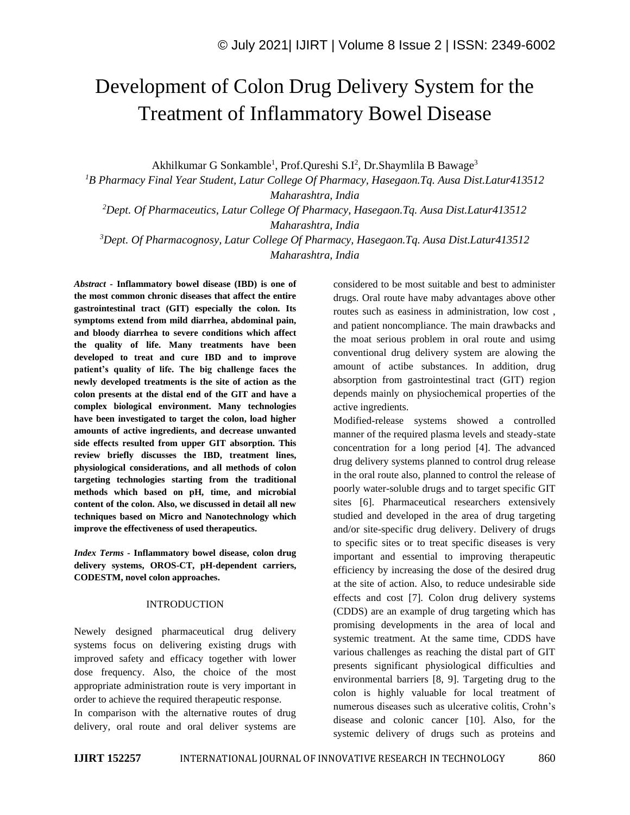# Development of Colon Drug Delivery System for the Treatment of Inflammatory Bowel Disease

Akhilkumar G Sonkamble<sup>1</sup>, Prof.Qureshi S.I<sup>2</sup>, Dr.Shaymlila B Bawage<sup>3</sup>

*<sup>1</sup>B Pharmacy Final Year Student, Latur College Of Pharmacy, Hasegaon.Tq. Ausa Dist.Latur413512 Maharashtra, India*

*<sup>2</sup>Dept. Of Pharmaceutics, Latur College Of Pharmacy, Hasegaon.Tq. Ausa Dist.Latur413512 Maharashtra, India*

*<sup>3</sup>Dept. Of Pharmacognosy, Latur College Of Pharmacy, Hasegaon.Tq. Ausa Dist.Latur413512 Maharashtra, India*

*Abstract -* **Inflammatory bowel disease (IBD) is one of the most common chronic diseases that affect the entire gastrointestinal tract (GIT) especially the colon. Its symptoms extend from mild diarrhea, abdominal pain, and bloody diarrhea to severe conditions which affect the quality of life. Many treatments have been developed to treat and cure IBD and to improve patient's quality of life. The big challenge faces the newly developed treatments is the site of action as the colon presents at the distal end of the GIT and have a complex biological environment. Many technologies have been investigated to target the colon, load higher amounts of active ingredients, and decrease unwanted side effects resulted from upper GIT absorption. This review briefly discusses the IBD, treatment lines, physiological considerations, and all methods of colon targeting technologies starting from the traditional methods which based on pH, time, and microbial content of the colon. Also, we discussed in detail all new techniques based on Micro and Nanotechnology which improve the effectiveness of used therapeutics.** 

*Index Terms -* **Inflammatory bowel disease, colon drug delivery systems, OROS-CT, pH-dependent carriers, CODESTM, novel colon approaches.**

#### INTRODUCTION

Newely designed pharmaceutical drug delivery systems focus on delivering existing drugs with improved safety and efficacy together with lower dose frequency. Also, the choice of the most appropriate administration route is very important in order to achieve the required therapeutic response.

In comparison with the alternative routes of drug delivery, oral route and oral deliver systems are

considered to be most suitable and best to administer drugs. Oral route have maby advantages above other routes such as easiness in administration, low cost , and patient noncompliance. The main drawbacks and the moat serious problem in oral route and usimg conventional drug delivery system are alowing the amount of actibe substances. In addition, drug absorption from gastrointestinal tract (GIT) region depends mainly on physiochemical properties of the active ingredients.

Modified-release systems showed a controlled manner of the required plasma levels and steady-state concentration for a long period [4]. The advanced drug delivery systems planned to control drug release in the oral route also, planned to control the release of poorly water-soluble drugs and to target specific GIT sites [6]. Pharmaceutical researchers extensively studied and developed in the area of drug targeting and/or site-specific drug delivery. Delivery of drugs to specific sites or to treat specific diseases is very important and essential to improving therapeutic efficiency by increasing the dose of the desired drug at the site of action. Also, to reduce undesirable side effects and cost [7]. Colon drug delivery systems (CDDS) are an example of drug targeting which has promising developments in the area of local and systemic treatment. At the same time, CDDS have various challenges as reaching the distal part of GIT presents significant physiological difficulties and environmental barriers [8, 9]. Targeting drug to the colon is highly valuable for local treatment of numerous diseases such as ulcerative colitis, Crohn's disease and colonic cancer [10]. Also, for the systemic delivery of drugs such as proteins and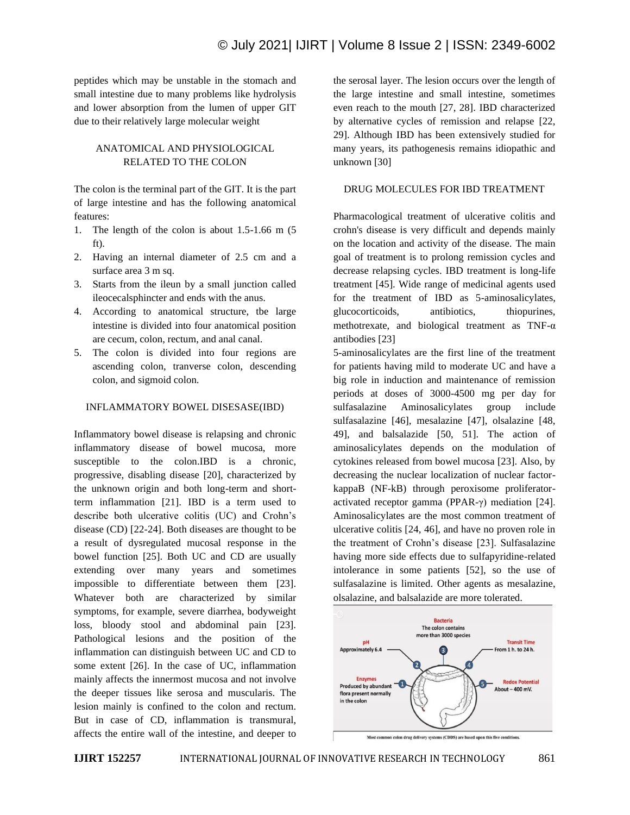peptides which may be unstable in the stomach and small intestine due to many problems like hydrolysis and lower absorption from the lumen of upper GIT due to their relatively large molecular weight

# ANATOMICAL AND PHYSIOLOGICAL RELATED TO THE COLON

The colon is the terminal part of the GIT. It is the part of large intestine and has the following anatomical features:

- 1. The length of the colon is about 1.5-1.66 m (5 ft).
- 2. Having an internal diameter of 2.5 cm and a surface area 3 m sq.
- 3. Starts from the ileun by a small junction called ileocecalsphincter and ends with the anus.
- 4. According to anatomical structure, tbe large intestine is divided into four anatomical position are cecum, colon, rectum, and anal canal.
- 5. The colon is divided into four regions are ascending colon, tranverse colon, descending colon, and sigmoid colon.

## INFLAMMATORY BOWEL DISESASE(IBD)

Inflammatory bowel disease is relapsing and chronic inflammatory disease of bowel mucosa, more susceptible to the colon.IBD is a chronic, progressive, disabling disease [20], characterized by the unknown origin and both long-term and shortterm inflammation [21]. IBD is a term used to describe both ulcerative colitis (UC) and Crohn's disease (CD) [22-24]. Both diseases are thought to be a result of dysregulated mucosal response in the bowel function [25]. Both UC and CD are usually extending over many years and sometimes impossible to differentiate between them [23]. Whatever both are characterized by similar symptoms, for example, severe diarrhea, bodyweight loss, bloody stool and abdominal pain [23]. Pathological lesions and the position of the inflammation can distinguish between UC and CD to some extent [26]. In the case of UC, inflammation mainly affects the innermost mucosa and not involve the deeper tissues like serosa and muscularis. The lesion mainly is confined to the colon and rectum. But in case of CD, inflammation is transmural, affects the entire wall of the intestine, and deeper to

the serosal layer. The lesion occurs over the length of the large intestine and small intestine, sometimes even reach to the mouth [27, 28]. IBD characterized by alternative cycles of remission and relapse [22, 29]. Although IBD has been extensively studied for many years, its pathogenesis remains idiopathic and unknown [30]

#### DRUG MOLECULES FOR IBD TREATMENT

Pharmacological treatment of ulcerative colitis and crohn's disease is very difficult and depends mainly on the location and activity of the disease. The main goal of treatment is to prolong remission cycles and decrease relapsing cycles. IBD treatment is long-life treatment [45]. Wide range of medicinal agents used for the treatment of IBD as 5-aminosalicylates, glucocorticoids, antibiotics, thiopurines, methotrexate, and biological treatment as  $TNF-\alpha$ antibodies [23]

5-aminosalicylates are the first line of the treatment for patients having mild to moderate UC and have a big role in induction and maintenance of remission periods at doses of 3000-4500 mg per day for sulfasalazine Aminosalicylates group include sulfasalazine [46], mesalazine [47], olsalazine [48, 49], and balsalazide [50, 51]. The action of aminosalicylates depends on the modulation of cytokines released from bowel mucosa [23]. Also, by decreasing the nuclear localization of nuclear factorkappaB (NF-kB) through peroxisome proliferatoractivated receptor gamma (PPAR-γ) mediation [24]. Aminosalicylates are the most common treatment of ulcerative colitis [24, 46], and have no proven role in the treatment of Crohn's disease [23]. Sulfasalazine having more side effects due to sulfapyridine-related intolerance in some patients [52], so the use of sulfasalazine is limited. Other agents as mesalazine, olsalazine, and balsalazide are more tolerated.

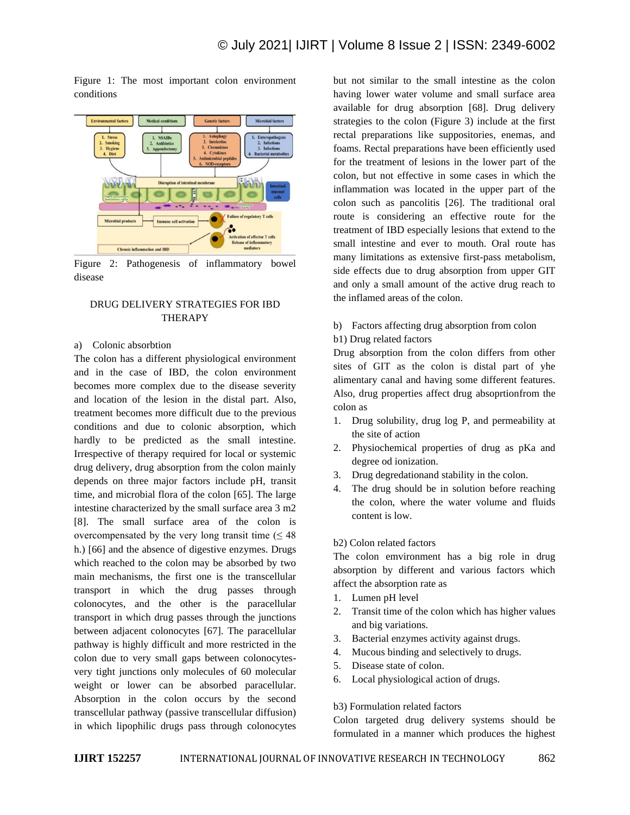Figure 1: The most important colon environment conditions



Figure 2: Pathogenesis of inflammatory bowel disease

## DRUG DELIVERY STRATEGIES FOR IBD THERAPY

#### a) Colonic absorbtion

The colon has a different physiological environment and in the case of IBD, the colon environment becomes more complex due to the disease severity and location of the lesion in the distal part. Also, treatment becomes more difficult due to the previous conditions and due to colonic absorption, which hardly to be predicted as the small intestine. Irrespective of therapy required for local or systemic drug delivery, drug absorption from the colon mainly depends on three major factors include pH, transit time, and microbial flora of the colon [65]. The large intestine characterized by the small surface area 3 m2 [8]. The small surface area of the colon is overcompensated by the very long transit time  $( \leq 48$ h.) [66] and the absence of digestive enzymes. Drugs which reached to the colon may be absorbed by two main mechanisms, the first one is the transcellular transport in which the drug passes through colonocytes, and the other is the paracellular transport in which drug passes through the junctions between adjacent colonocytes [67]. The paracellular pathway is highly difficult and more restricted in the colon due to very small gaps between colonocytesvery tight junctions only molecules of 60 molecular weight or lower can be absorbed paracellular. Absorption in the colon occurs by the second transcellular pathway (passive transcellular diffusion) in which lipophilic drugs pass through colonocytes but not similar to the small intestine as the colon having lower water volume and small surface area available for drug absorption [68]. Drug delivery strategies to the colon (Figure 3) include at the first rectal preparations like suppositories, enemas, and foams. Rectal preparations have been efficiently used for the treatment of lesions in the lower part of the colon, but not effective in some cases in which the inflammation was located in the upper part of the colon such as pancolitis [26]. The traditional oral route is considering an effective route for the treatment of IBD especially lesions that extend to the small intestine and ever to mouth. Oral route has many limitations as extensive first-pass metabolism, side effects due to drug absorption from upper GIT and only a small amount of the active drug reach to the inflamed areas of the colon.

#### b) Factors affecting drug absorption from colon

#### b1) Drug related factors

Drug absorption from the colon differs from other sites of GIT as the colon is distal part of yhe alimentary canal and having some different features. Also, drug properties affect drug absoprtionfrom the colon as

- 1. Drug solubility, drug log P, and permeability at the site of action
- 2. Physiochemical properties of drug as pKa and degree od ionization.
- 3. Drug degredationand stability in the colon.
- 4. The drug should be in solution before reaching the colon, where the water volume and fluids content is low.

#### b2) Colon related factors

The colon emvironment has a big role in drug absorption by different and various factors which affect the absorption rate as

- 1. Lumen pH level
- 2. Transit time of the colon which has higher values and big variations.
- 3. Bacterial enzymes activity against drugs.
- 4. Mucous binding and selectively to drugs.
- 5. Disease state of colon.
- 6. Local physiological action of drugs.

#### b3) Formulation related factors

Colon targeted drug delivery systems should be formulated in a manner which produces the highest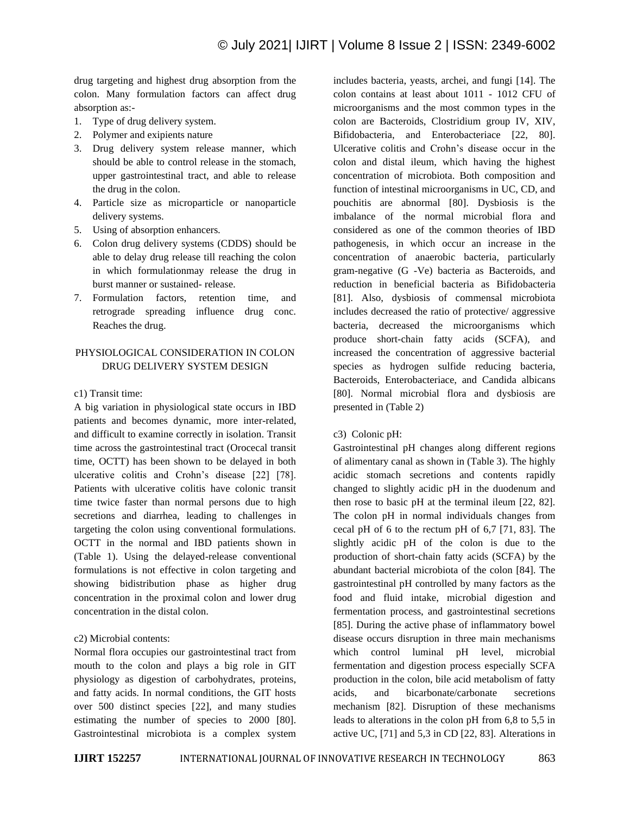drug targeting and highest drug absorption from the colon. Many formulation factors can affect drug absorption as:-

- 1. Type of drug delivery system.
- 2. Polymer and exipients nature
- 3. Drug delivery system release manner, which should be able to control release in the stomach, upper gastrointestinal tract, and able to release the drug in the colon.
- 4. Particle size as microparticle or nanoparticle delivery systems.
- 5. Using of absorption enhancers.
- 6. Colon drug delivery systems (CDDS) should be able to delay drug release till reaching the colon in which formulationmay release the drug in burst manner or sustained- release.
- 7. Formulation factors, retention time, and retrograde spreading influence drug conc. Reaches the drug.

# PHYSIOLOGICAL CONSIDERATION IN COLON DRUG DELIVERY SYSTEM DESIGN

#### c1) Transit time:

A big variation in physiological state occurs in IBD patients and becomes dynamic, more inter-related, and difficult to examine correctly in isolation. Transit time across the gastrointestinal tract (Orocecal transit time, OCTT) has been shown to be delayed in both ulcerative colitis and Crohn's disease [22] [78]. Patients with ulcerative colitis have colonic transit time twice faster than normal persons due to high secretions and diarrhea, leading to challenges in targeting the colon using conventional formulations. OCTT in the normal and IBD patients shown in (Table 1). Using the delayed-release conventional formulations is not effective in colon targeting and showing bidistribution phase as higher drug concentration in the proximal colon and lower drug concentration in the distal colon.

#### c2) Microbial contents:

Normal flora occupies our gastrointestinal tract from mouth to the colon and plays a big role in GIT physiology as digestion of carbohydrates, proteins, and fatty acids. In normal conditions, the GIT hosts over 500 distinct species [22], and many studies estimating the number of species to 2000 [80]. Gastrointestinal microbiota is a complex system includes bacteria, yeasts, archei, and fungi [14]. The colon contains at least about 1011 - 1012 CFU of microorganisms and the most common types in the colon are Bacteroids, Clostridium group IV, XIV, Bifidobacteria, and Enterobacteriace [22, 80]. Ulcerative colitis and Crohn's disease occur in the colon and distal ileum, which having the highest concentration of microbiota. Both composition and function of intestinal microorganisms in UC, CD, and pouchitis are abnormal [80]. Dysbiosis is the imbalance of the normal microbial flora and considered as one of the common theories of IBD pathogenesis, in which occur an increase in the concentration of anaerobic bacteria, particularly gram-negative (G -Ve) bacteria as Bacteroids, and reduction in beneficial bacteria as Bifidobacteria [81]. Also, dysbiosis of commensal microbiota includes decreased the ratio of protective/ aggressive bacteria, decreased the microorganisms which produce short-chain fatty acids (SCFA), and increased the concentration of aggressive bacterial species as hydrogen sulfide reducing bacteria, Bacteroids, Enterobacteriace, and Candida albicans [80]. Normal microbial flora and dysbiosis are presented in (Table 2)

#### c3) Colonic pH:

Gastrointestinal pH changes along different regions of alimentary canal as shown in (Table 3). The highly acidic stomach secretions and contents rapidly changed to slightly acidic pH in the duodenum and then rose to basic pH at the terminal ileum [22, 82]. The colon pH in normal individuals changes from cecal pH of 6 to the rectum pH of 6,7 [71, 83]. The slightly acidic pH of the colon is due to the production of short-chain fatty acids (SCFA) by the abundant bacterial microbiota of the colon [84]. The gastrointestinal pH controlled by many factors as the food and fluid intake, microbial digestion and fermentation process, and gastrointestinal secretions [85]. During the active phase of inflammatory bowel disease occurs disruption in three main mechanisms which control luminal pH level, microbial fermentation and digestion process especially SCFA production in the colon, bile acid metabolism of fatty acids, and bicarbonate/carbonate secretions mechanism [82]. Disruption of these mechanisms leads to alterations in the colon pH from 6,8 to 5,5 in active UC, [71] and 5,3 in CD [22, 83]. Alterations in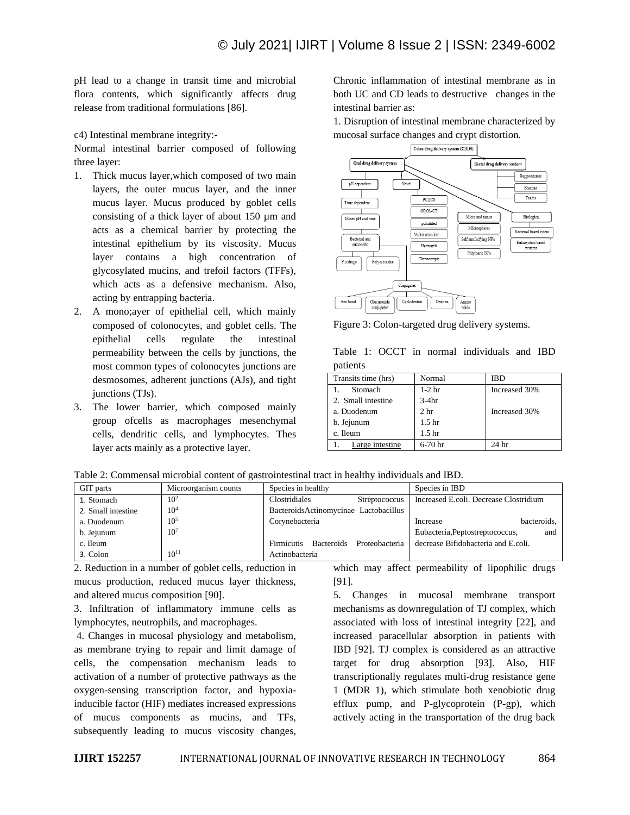pH lead to a change in transit time and microbial flora contents, which significantly affects drug release from traditional formulations [86].

c4) Intestinal membrane integrity:-

Normal intestinal barrier composed of following three layer:

- 1. Thick mucus layer,which composed of two main layers, the outer mucus layer, and the inner mucus layer. Mucus produced by goblet cells consisting of a thick layer of about 150 µm and acts as a chemical barrier by protecting the intestinal epithelium by its viscosity. Mucus layer contains a high concentration of glycosylated mucins, and trefoil factors (TFFs), which acts as a defensive mechanism. Also, acting by entrapping bacteria.
- 2. A mono;ayer of epithelial cell, which mainly composed of colonocytes, and goblet cells. The epithelial cells regulate the intestinal permeability between the cells by junctions, the most common types of colonocytes junctions are desmosomes, adherent junctions (AJs), and tight junctions (TJs).
- 3. The lower barrier, which composed mainly group ofcells as macrophages mesenchymal cells, dendritic cells, and lymphocytes. Thes layer acts mainly as a protective layer.

Chronic inflammation of intestinal membrane as in both UC and CD leads to destructive changes in the intestinal barrier as:

1. Disruption of intestinal membrane characterized by mucosal surface changes and crypt distortion.



Figure 3: Colon-targeted drug delivery systems.

|          |  |  | Table 1: OCCT in normal individuals and IBD |  |
|----------|--|--|---------------------------------------------|--|
| patients |  |  |                                             |  |

| Normal            | IBD           |
|-------------------|---------------|
| $1-2$ hr          | Increased 30% |
| $3-4hr$           |               |
| 2 <sub>hr</sub>   | Increased 30% |
| 1.5 <sub>hr</sub> |               |
| 1.5 <sub>hr</sub> |               |
| $6-70$ hr         | 24 hr         |
|                   |               |

| Table 2: Commensal microbial content of gastrointestinal tract in healthy individuals and IBD. |  |  |  |  |  |  |  |  |  |  |  |  |  |
|------------------------------------------------------------------------------------------------|--|--|--|--|--|--|--|--|--|--|--|--|--|
|------------------------------------------------------------------------------------------------|--|--|--|--|--|--|--|--|--|--|--|--|--|

| GIT parts          | Microorganism counts | Species in healthy                    | Species in IBD                         |
|--------------------|----------------------|---------------------------------------|----------------------------------------|
| 1. Stomach         | 10 <sup>2</sup>      | Clostridiales<br>Streptococcus        | Increased E.coli. Decrease Clostridium |
| 2. Small intestine | 10 <sup>4</sup>      | BacteroidsActinomycinae Lactobacillus |                                        |
| a. Duodenum        | $10^{5}$             | Corynebacteria                        | bacteroids,<br>Increase                |
| b. Jejunum         | 10 <sup>7</sup>      |                                       | Eubacteria, Peptostreptococcus,<br>and |
| c. Ileum           |                      | Firmicutis Bacteroids Proteobacteria  | decrease Bifidobacteria and E.coli.    |
| 3. Colon           | $10^{11}$            | Actinobacteria                        |                                        |

2. Reduction in a number of goblet cells, reduction in mucus production, reduced mucus layer thickness, and altered mucus composition [90].

3. Infiltration of inflammatory immune cells as lymphocytes, neutrophils, and macrophages.

4. Changes in mucosal physiology and metabolism, as membrane trying to repair and limit damage of cells, the compensation mechanism leads to activation of a number of protective pathways as the oxygen-sensing transcription factor, and hypoxiainducible factor (HIF) mediates increased expressions of mucus components as mucins, and TFs, subsequently leading to mucus viscosity changes,

which may affect permeability of lipophilic drugs [91].

5. Changes in mucosal membrane transport mechanisms as downregulation of TJ complex, which associated with loss of intestinal integrity [22], and increased paracellular absorption in patients with IBD [92]. TJ complex is considered as an attractive target for drug absorption [93]. Also, HIF transcriptionally regulates multi-drug resistance gene 1 (MDR 1), which stimulate both xenobiotic drug efflux pump, and P-glycoprotein (P-gp), which actively acting in the transportation of the drug back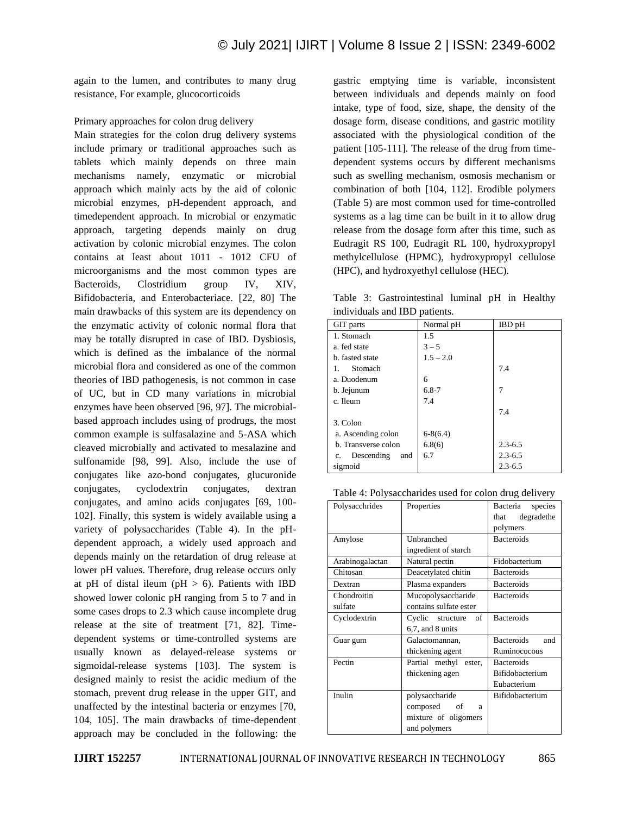again to the lumen, and contributes to many drug resistance, For example, glucocorticoids

Primary approaches for colon drug delivery

Main strategies for the colon drug delivery systems include primary or traditional approaches such as tablets which mainly depends on three main mechanisms namely, enzymatic or microbial approach which mainly acts by the aid of colonic microbial enzymes, pH-dependent approach, and timedependent approach. In microbial or enzymatic approach, targeting depends mainly on drug activation by colonic microbial enzymes. The colon contains at least about 1011 - 1012 CFU of microorganisms and the most common types are Bacteroids, Clostridium group IV, XIV, Bifidobacteria, and Enterobacteriace. [22, 80] The main drawbacks of this system are its dependency on the enzymatic activity of colonic normal flora that may be totally disrupted in case of IBD. Dysbiosis, which is defined as the imbalance of the normal microbial flora and considered as one of the common theories of IBD pathogenesis, is not common in case of UC, but in CD many variations in microbial enzymes have been observed [96, 97]. The microbialbased approach includes using of prodrugs, the most common example is sulfasalazine and 5-ASA which cleaved microbially and activated to mesalazine and sulfonamide [98, 99]. Also, include the use of conjugates like azo-bond conjugates, glucuronide conjugates, cyclodextrin conjugates, dextran conjugates, and amino acids conjugates [69, 100- 102]. Finally, this system is widely available using a variety of polysaccharides (Table 4). In the pHdependent approach, a widely used approach and depends mainly on the retardation of drug release at lower pH values. Therefore, drug release occurs only at pH of distal ileum (pH  $> 6$ ). Patients with IBD showed lower colonic pH ranging from 5 to 7 and in some cases drops to 2.3 which cause incomplete drug release at the site of treatment [71, 82]. Timedependent systems or time-controlled systems are usually known as delayed-release systems or sigmoidal-release systems [103]. The system is designed mainly to resist the acidic medium of the stomach, prevent drug release in the upper GIT, and unaffected by the intestinal bacteria or enzymes [70, 104, 105]. The main drawbacks of time-dependent approach may be concluded in the following: the

gastric emptying time is variable, inconsistent between individuals and depends mainly on food intake, type of food, size, shape, the density of the dosage form, disease conditions, and gastric motility associated with the physiological condition of the patient [105-111]. The release of the drug from timedependent systems occurs by different mechanisms such as swelling mechanism, osmosis mechanism or combination of both [104, 112]. Erodible polymers (Table 5) are most common used for time-controlled systems as a lag time can be built in it to allow drug release from the dosage form after this time, such as Eudragit RS 100, Eudragit RL 100, hydroxypropyl methylcellulose (HPMC), hydroxypropyl cellulose (HPC), and hydroxyethyl cellulose (HEC).

Table 3: Gastrointestinal luminal pH in Healthy individuals and IBD patients.

| marviaans and ibb patients. |             |               |  |  |  |
|-----------------------------|-------------|---------------|--|--|--|
| GIT parts                   | Normal pH   | <b>IBD</b> pH |  |  |  |
| 1. Stomach                  | 1.5         |               |  |  |  |
| a. fed state                | $3 - 5$     |               |  |  |  |
| b. fasted state             | $1.5 - 2.0$ |               |  |  |  |
| Stomach                     |             | 7.4           |  |  |  |
| a. Duodenum                 | 6           |               |  |  |  |
| b. Jejunum                  | $6.8 - 7$   | 7             |  |  |  |
| c. Ileum                    | 7.4         |               |  |  |  |
|                             |             | 7.4           |  |  |  |
| 3. Colon                    |             |               |  |  |  |
| a. Ascending colon          | $6-8(6.4)$  |               |  |  |  |
| b. Transverse colon         | 6.8(6)      | $2.3 - 6.5$   |  |  |  |
| Descending<br>and<br>c.     | 6.7         | $2.3 - 6.5$   |  |  |  |
| sigmoid                     |             | $2.3 - 6.5$   |  |  |  |

Table 4: Polysaccharides used for colon drug delivery

| Polysacchrides  | Properties             | Bacteria<br>species |
|-----------------|------------------------|---------------------|
|                 |                        | degradethe<br>that  |
|                 |                        | polymers            |
| Amylose         | Unbranched             | <b>Bacteroids</b>   |
|                 | ingredient of starch   |                     |
| Arabinogalactan | Natural pectin         | Fidobacterium       |
| Chitosan        | Deacetylated chitin    | <b>Bacteroids</b>   |
| Dextran         | Plasma expanders       | <b>Bacteroids</b>   |
| Chondroitin     | Mucopolysaccharide     | <b>Bacteroids</b>   |
| sulfate         | contains sulfate ester |                     |
| Cyclodextrin    | Cyclic structure<br>of | <b>Bacteroids</b>   |
|                 | 6.7, and 8 units       |                     |
| Guar gum        | Galactomannan,         | Bacteroids<br>and   |
|                 | thickening agent       | Ruminococous        |
| Pectin          | Partial methyl ester,  | <b>Bacteroids</b>   |
|                 | thickening agen        | Bifidobacterium     |
|                 |                        | Eubacterium         |
| Inulin          | polysaccharide         | Bifidobacterium     |
|                 | composed of<br>a       |                     |
|                 | mixture of oligomers   |                     |
|                 | and polymers           |                     |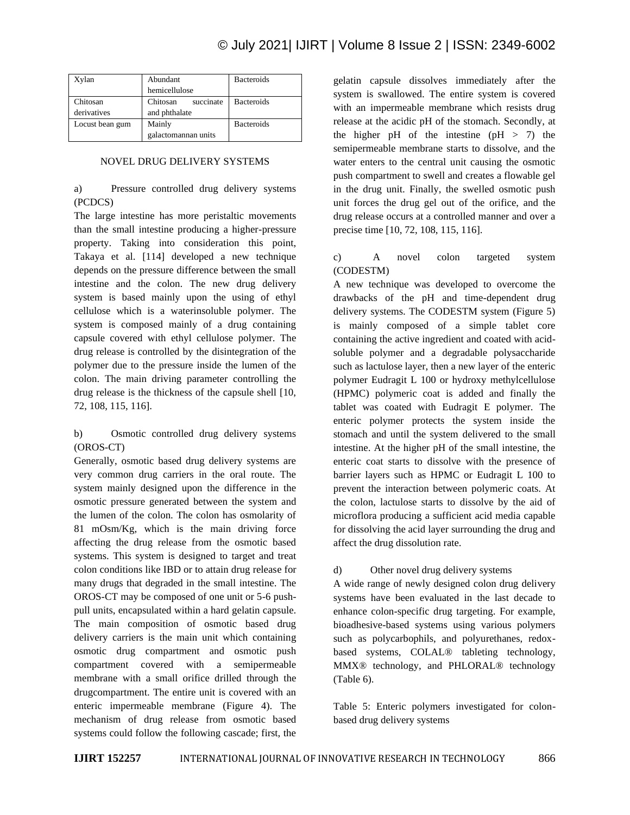| Xylan           | Abundant              | <b>Bacteroids</b> |
|-----------------|-----------------------|-------------------|
|                 | hemicellulose         |                   |
| Chitosan        | Chitosan<br>succinate | <b>Bacteroids</b> |
| derivatives     | and phthalate         |                   |
| Locust bean gum | Mainly                | <b>Bacteroids</b> |
|                 | galactomannan units   |                   |

## NOVEL DRUG DELIVERY SYSTEMS

a) Pressure controlled drug delivery systems (PCDCS)

The large intestine has more peristaltic movements than the small intestine producing a higher-pressure property. Taking into consideration this point, Takaya et al. [114] developed a new technique depends on the pressure difference between the small intestine and the colon. The new drug delivery system is based mainly upon the using of ethyl cellulose which is a waterinsoluble polymer. The system is composed mainly of a drug containing capsule covered with ethyl cellulose polymer. The drug release is controlled by the disintegration of the polymer due to the pressure inside the lumen of the colon. The main driving parameter controlling the drug release is the thickness of the capsule shell [10, 72, 108, 115, 116].

b) Osmotic controlled drug delivery systems (OROS-CT)

Generally, osmotic based drug delivery systems are very common drug carriers in the oral route. The system mainly designed upon the difference in the osmotic pressure generated between the system and the lumen of the colon. The colon has osmolarity of 81 mOsm/Kg, which is the main driving force affecting the drug release from the osmotic based systems. This system is designed to target and treat colon conditions like IBD or to attain drug release for many drugs that degraded in the small intestine. The OROS-CT may be composed of one unit or 5-6 pushpull units, encapsulated within a hard gelatin capsule. The main composition of osmotic based drug delivery carriers is the main unit which containing osmotic drug compartment and osmotic push compartment covered with a semipermeable membrane with a small orifice drilled through the drugcompartment. The entire unit is covered with an enteric impermeable membrane (Figure 4). The mechanism of drug release from osmotic based systems could follow the following cascade; first, the

gelatin capsule dissolves immediately after the system is swallowed. The entire system is covered with an impermeable membrane which resists drug release at the acidic pH of the stomach. Secondly, at the higher pH of the intestine  $(pH > 7)$  the semipermeable membrane starts to dissolve, and the water enters to the central unit causing the osmotic push compartment to swell and creates a flowable gel in the drug unit. Finally, the swelled osmotic push unit forces the drug gel out of the orifice, and the drug release occurs at a controlled manner and over a precise time [10, 72, 108, 115, 116].

## c) A novel colon targeted system (CODESTM)

A new technique was developed to overcome the drawbacks of the pH and time-dependent drug delivery systems. The CODESTM system (Figure 5) is mainly composed of a simple tablet core containing the active ingredient and coated with acidsoluble polymer and a degradable polysaccharide such as lactulose layer, then a new layer of the enteric polymer Eudragit L 100 or hydroxy methylcellulose (HPMC) polymeric coat is added and finally the tablet was coated with Eudragit E polymer. The enteric polymer protects the system inside the stomach and until the system delivered to the small intestine. At the higher pH of the small intestine, the enteric coat starts to dissolve with the presence of barrier layers such as HPMC or Eudragit L 100 to prevent the interaction between polymeric coats. At the colon, lactulose starts to dissolve by the aid of microflora producing a sufficient acid media capable for dissolving the acid layer surrounding the drug and affect the drug dissolution rate.

#### d) Other novel drug delivery systems

A wide range of newly designed colon drug delivery systems have been evaluated in the last decade to enhance colon-specific drug targeting. For example, bioadhesive-based systems using various polymers such as polycarbophils, and polyurethanes, redoxbased systems, COLAL® tableting technology, MMX® technology, and PHLORAL® technology (Table 6).

Table 5: Enteric polymers investigated for colonbased drug delivery systems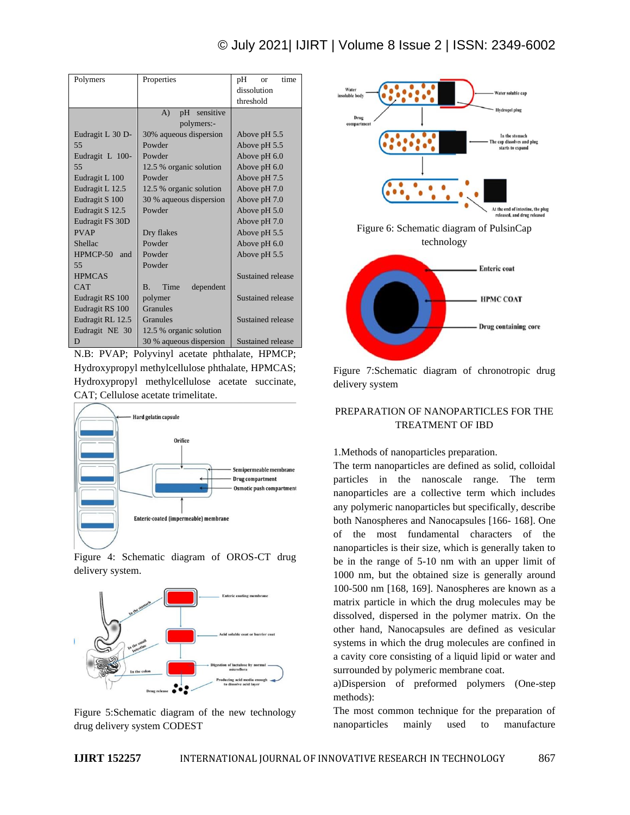| Polymers         | Properties                     | pH<br>time<br>or  |  |  |
|------------------|--------------------------------|-------------------|--|--|
|                  |                                | dissolution       |  |  |
|                  |                                | threshold         |  |  |
|                  | sensitive<br>$\bf{A}$<br>pH    |                   |  |  |
|                  | polymers:-                     |                   |  |  |
| Eudragit L 30 D- | 30% aqueous dispersion         | Above pH 5.5      |  |  |
| 55               | Powder                         | Above pH 5.5      |  |  |
| Eudragit L 100-  | Powder                         | Above pH 6.0      |  |  |
| 55               | 12.5 % organic solution        | Above pH 6.0      |  |  |
| Eudragit L 100   | Powder                         | Above pH 7.5      |  |  |
| Eudragit L 12.5  | 12.5 % organic solution        | Above pH 7.0      |  |  |
| Eudragit S 100   | 30 % aqueous dispersion        | Above pH 7.0      |  |  |
| Eudragit S 12.5  | Powder                         | Above pH 5.0      |  |  |
| Eudragit FS 30D  |                                | Above pH 7.0      |  |  |
| <b>PVAP</b>      | Dry flakes                     | Above pH 5.5      |  |  |
| Shellac          | Powder                         | Above $pH\,6.0$   |  |  |
| HPMCP-50<br>and  | Powder                         | Above pH 5.5      |  |  |
| 55               | Powder                         |                   |  |  |
| <b>HPMCAS</b>    |                                | Sustained release |  |  |
| <b>CAT</b>       | Time<br><b>B.</b><br>dependent |                   |  |  |
| Eudragit RS 100  | polymer                        | Sustained release |  |  |
| Eudragit RS 100  | Granules                       |                   |  |  |
| Eudragit RL 12.5 | Granules                       | Sustained release |  |  |
| Eudragit NE 30   | 12.5 % organic solution        |                   |  |  |
| D                | 30 % aqueous dispersion        | Sustained release |  |  |

N.B: PVAP; Polyvinyl acetate phthalate, HPMCP; Hydroxypropyl methylcellulose phthalate, HPMCAS; Hydroxypropyl methylcellulose acetate succinate, CAT; Cellulose acetate trimelitate.



Figure 4: Schematic diagram of OROS-CT drug delivery system.



Figure 5:Schematic diagram of the new technology drug delivery system CODEST





Figure 7:Schematic diagram of chronotropic drug delivery system

# PREPARATION OF NANOPARTICLES FOR THE TREATMENT OF IBD

#### 1.Methods of nanoparticles preparation.

The term nanoparticles are defined as solid, colloidal particles in the nanoscale range. The term nanoparticles are a collective term which includes any polymeric nanoparticles but specifically, describe both Nanospheres and Nanocapsules [166- 168]. One of the most fundamental characters of the nanoparticles is their size, which is generally taken to be in the range of 5-10 nm with an upper limit of 1000 nm, but the obtained size is generally around 100-500 nm [168, 169]. Nanospheres are known as a matrix particle in which the drug molecules may be dissolved, dispersed in the polymer matrix. On the other hand, Nanocapsules are defined as vesicular systems in which the drug molecules are confined in a cavity core consisting of a liquid lipid or water and surrounded by polymeric membrane coat.

a)Dispersion of preformed polymers (One-step methods):

The most common technique for the preparation of nanoparticles mainly used to manufacture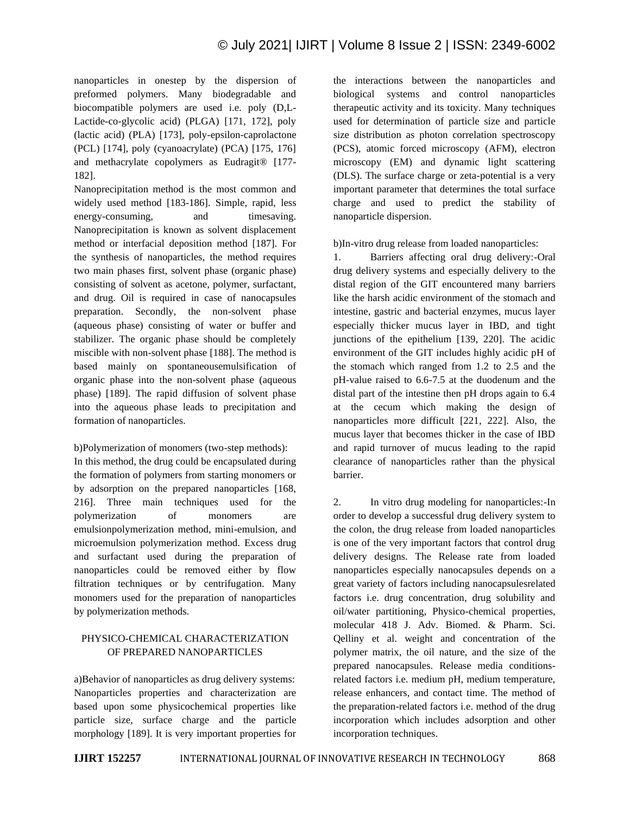nanoparticles in onestep by the dispersion of preformed polymers. Many biodegradable and biocompatible polymers are used i.e. poly (D,L-Lactide-co-glycolic acid) (PLGA) [171, 172], poly (lactic acid) (PLA) [173], poly-epsilon-caprolactone (PCL) [174], poly (cyanoacrylate) (PCA) [175, 176] and methacrylate copolymers as Eudragit® [177- 182].

Nanoprecipitation method is the most common and widely used method [183-186]. Simple, rapid, less energy-consuming, and timesaving. Nanoprecipitation is known as solvent displacement method or interfacial deposition method [187]. For the synthesis of nanoparticles, the method requires two main phases first, solvent phase (organic phase) consisting of solvent as acetone, polymer, surfactant, and drug. Oil is required in case of nanocapsules preparation. Secondly, the non-solvent phase (aqueous phase) consisting of water or buffer and stabilizer. The organic phase should be completely miscible with non-solvent phase [188]. The method is based mainly on spontaneousemulsification of organic phase into the non-solvent phase (aqueous phase) [189]. The rapid diffusion of solvent phase into the aqueous phase leads to precipitation and formation of nanoparticles.

b)Polymerization of monomers (two-step methods): In this method, the drug could be encapsulated during the formation of polymers from starting monomers or by adsorption on the prepared nanoparticles [168, 216]. Three main techniques used for the polymerization of monomers are emulsionpolymerization method, mini-emulsion, and microemulsion polymerization method. Excess drug and surfactant used during the preparation of nanoparticles could be removed either by flow filtration techniques or by centrifugation. Many monomers used for the preparation of nanoparticles by polymerization methods.

## PHYSICO-CHEMICAL CHARACTERIZATION OF PREPARED NANOPARTICLES

a)Behavior of nanoparticles as drug delivery systems: Nanoparticles properties and characterization are based upon some physicochemical properties like particle size, surface charge and the particle morphology [189]. It is very important properties for the interactions between the nanoparticles and biological systems and control nanoparticles therapeutic activity and its toxicity. Many techniques used for determination of particle size and particle size distribution as photon correlation spectroscopy (PCS), atomic forced microscopy (AFM), electron microscopy (EM) and dynamic light scattering (DLS). The surface charge or zeta-potential is a very important parameter that determines the total surface charge and used to predict the stability of nanoparticle dispersion.

b)In-vitro drug release from loaded nanoparticles:

1. Barriers affecting oral drug delivery:-Oral drug delivery systems and especially delivery to the distal region of the GIT encountered many barriers like the harsh acidic environment of the stomach and intestine, gastric and bacterial enzymes, mucus layer especially thicker mucus layer in IBD, and tight junctions of the epithelium [139, 220]. The acidic environment of the GIT includes highly acidic pH of the stomach which ranged from 1.2 to 2.5 and the pH-value raised to 6.6-7.5 at the duodenum and the distal part of the intestine then pH drops again to 6.4 at the cecum which making the design of nanoparticles more difficult [221, 222]. Also, the mucus layer that becomes thicker in the case of IBD and rapid turnover of mucus leading to the rapid clearance of nanoparticles rather than the physical barrier.

2. In vitro drug modeling for nanoparticles:-In order to develop a successful drug delivery system to the colon, the drug release from loaded nanoparticles is one of the very important factors that control drug delivery designs. The Release rate from loaded nanoparticles especially nanocapsules depends on a great variety of factors including nanocapsulesrelated factors i.e. drug concentration, drug solubility and oil/water partitioning, Physico-chemical properties, molecular 418 J. Adv. Biomed. & Pharm. Sci. Qelliny et al. weight and concentration of the polymer matrix, the oil nature, and the size of the prepared nanocapsules. Release media conditionsrelated factors i.e. medium pH, medium temperature, release enhancers, and contact time. The method of the preparation-related factors i.e. method of the drug incorporation which includes adsorption and other incorporation techniques.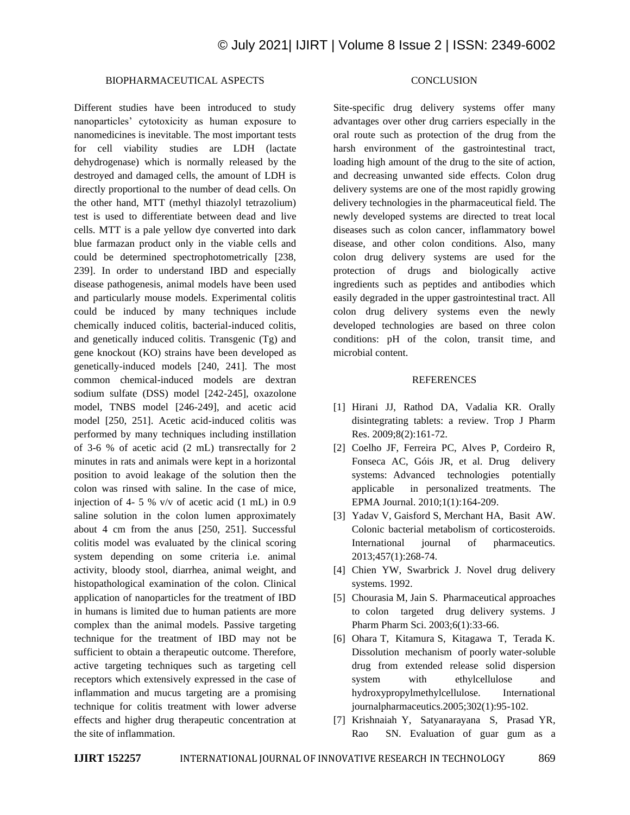#### BIOPHARMACEUTICAL ASPECTS

Different studies have been introduced to study nanoparticles' cytotoxicity as human exposure to nanomedicines is inevitable. The most important tests for cell viability studies are LDH (lactate dehydrogenase) which is normally released by the destroyed and damaged cells, the amount of LDH is directly proportional to the number of dead cells. On the other hand, MTT (methyl thiazolyl tetrazolium) test is used to differentiate between dead and live cells. MTT is a pale yellow dye converted into dark blue farmazan product only in the viable cells and could be determined spectrophotometrically [238, 239]. In order to understand IBD and especially disease pathogenesis, animal models have been used and particularly mouse models. Experimental colitis could be induced by many techniques include chemically induced colitis, bacterial-induced colitis, and genetically induced colitis. Transgenic (Tg) and gene knockout (KO) strains have been developed as genetically-induced models [240, 241]. The most common chemical-induced models are dextran sodium sulfate (DSS) model [242-245], oxazolone model, TNBS model [246-249], and acetic acid model [250, 251]. Acetic acid-induced colitis was performed by many techniques including instillation of 3-6 % of acetic acid (2 mL) transrectally for 2 minutes in rats and animals were kept in a horizontal position to avoid leakage of the solution then the colon was rinsed with saline. In the case of mice, injection of 4- 5 % v/v of acetic acid (1 mL) in 0.9 saline solution in the colon lumen approximately about 4 cm from the anus [250, 251]. Successful colitis model was evaluated by the clinical scoring system depending on some criteria i.e. animal activity, bloody stool, diarrhea, animal weight, and histopathological examination of the colon. Clinical application of nanoparticles for the treatment of IBD in humans is limited due to human patients are more complex than the animal models. Passive targeting technique for the treatment of IBD may not be sufficient to obtain a therapeutic outcome. Therefore, active targeting techniques such as targeting cell receptors which extensively expressed in the case of inflammation and mucus targeting are a promising technique for colitis treatment with lower adverse effects and higher drug therapeutic concentration at the site of inflammation.

## **CONCLUSION**

Site-specific drug delivery systems offer many advantages over other drug carriers especially in the oral route such as protection of the drug from the harsh environment of the gastrointestinal tract, loading high amount of the drug to the site of action, and decreasing unwanted side effects. Colon drug delivery systems are one of the most rapidly growing delivery technologies in the pharmaceutical field. The newly developed systems are directed to treat local diseases such as colon cancer, inflammatory bowel disease, and other colon conditions. Also, many colon drug delivery systems are used for the protection of drugs and biologically active ingredients such as peptides and antibodies which easily degraded in the upper gastrointestinal tract. All colon drug delivery systems even the newly developed technologies are based on three colon conditions: pH of the colon, transit time, and microbial content.

#### **REFERENCES**

- [1] Hirani JJ, Rathod DA, Vadalia KR. Orally disintegrating tablets: a review. Trop J Pharm Res. 2009;8(2):161-72.
- [2] Coelho JF, Ferreira PC, Alves P, Cordeiro R, Fonseca AC, Góis JR, et al. Drug delivery systems: Advanced technologies potentially applicable in personalized treatments. The EPMA Journal. 2010;1(1):164-209.
- [3] Yadav V, Gaisford S, Merchant HA, Basit AW. Colonic bacterial metabolism of corticosteroids. International journal of pharmaceutics. 2013;457(1):268-74.
- [4] Chien YW, Swarbrick J. Novel drug delivery systems. 1992.
- [5] Chourasia M, Jain S. Pharmaceutical approaches to colon targeted drug delivery systems. J Pharm Pharm Sci. 2003;6(1):33-66.
- [6] Ohara T, Kitamura S, Kitagawa T, Terada K. Dissolution mechanism of poorly water-soluble drug from extended release solid dispersion system with ethylcellulose and hydroxypropylmethylcellulose. International journalpharmaceutics.2005;302(1):95-102.
- [7] Krishnaiah Y, Satyanarayana S, Prasad YR, Rao SN. Evaluation of guar gum as a